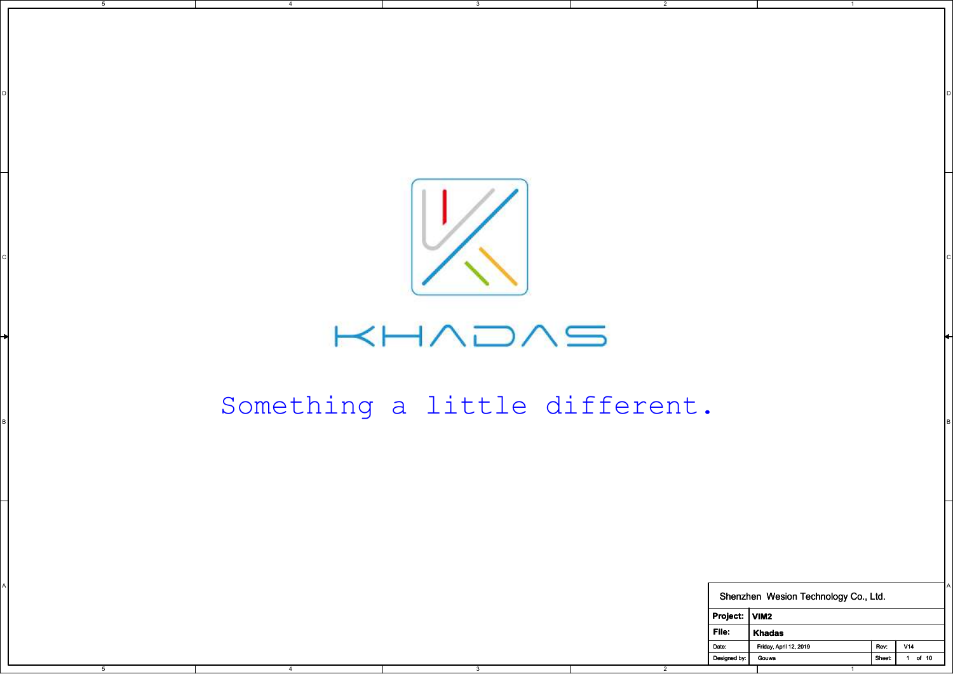

D I DO NOTES AND THE RESERVE TO A RESERVE THE RESERVE TO A RESERVE THE RESERVE TO A RESERVE THE RESERVE TO A R

2

5

4

## $H$  $\wedge$  $\supset$  $\wedge$  $\supset$

## Something a little different.

|      |      | Something a little different. |                |               |                                      |      |                       |
|------|------|-------------------------------|----------------|---------------|--------------------------------------|------|-----------------------|
|      |      |                               |                |               |                                      |      |                       |
|      |      |                               |                |               |                                      |      |                       |
|      |      |                               |                |               |                                      |      |                       |
|      |      |                               |                |               |                                      |      |                       |
|      |      |                               |                |               |                                      |      |                       |
|      |      |                               |                |               | Shenzhen Wesion Technology Co., Ltd. |      |                       |
|      |      |                               |                | Project: VIM2 |                                      |      |                       |
|      |      |                               | File:          |               | Khadas                               |      |                       |
|      |      |                               | Date:          | Designed by:  | Friday, April 12, 2019<br>Gouwa      | Rev: | V14<br>Sheet: 1 of 10 |
| $-5$ | $-4$ | $\overline{\textbf{3}}$       | $\overline{2}$ |               | $\overline{1}$                       |      |                       |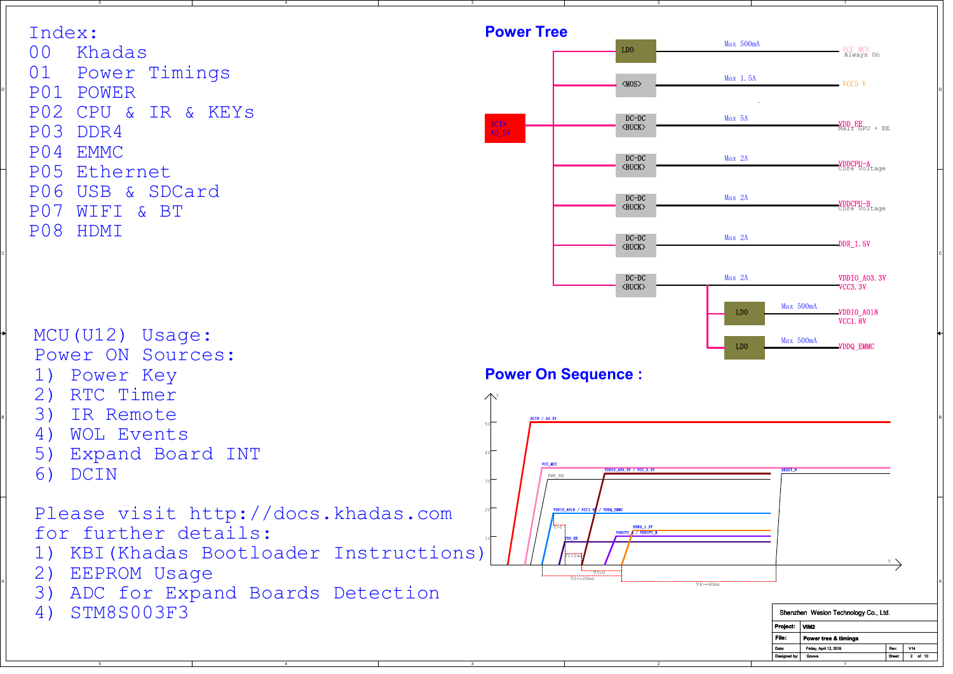

3

2

4

5

5

4

2

1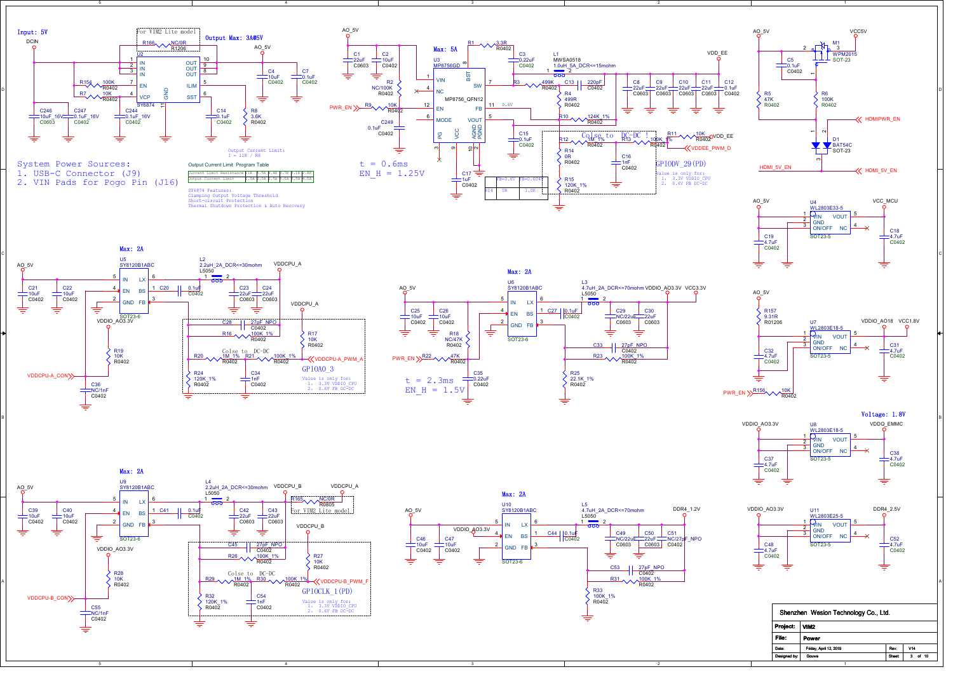



Max: 2A

5

4



2

3



1













4



2



|              | Shenzhen Wesion Technology Co., Ltd. |               |            |
|--------------|--------------------------------------|---------------|------------|
| Project:     | VIM2                                 |               |            |
| File:        | Power                                |               |            |
| Date:        | Friday, April 12, 2019               | Rev           | V14        |
| Designed by: | Gouwa                                | <b>Sheet:</b> | of 10<br>3 |
|              |                                      |               |            |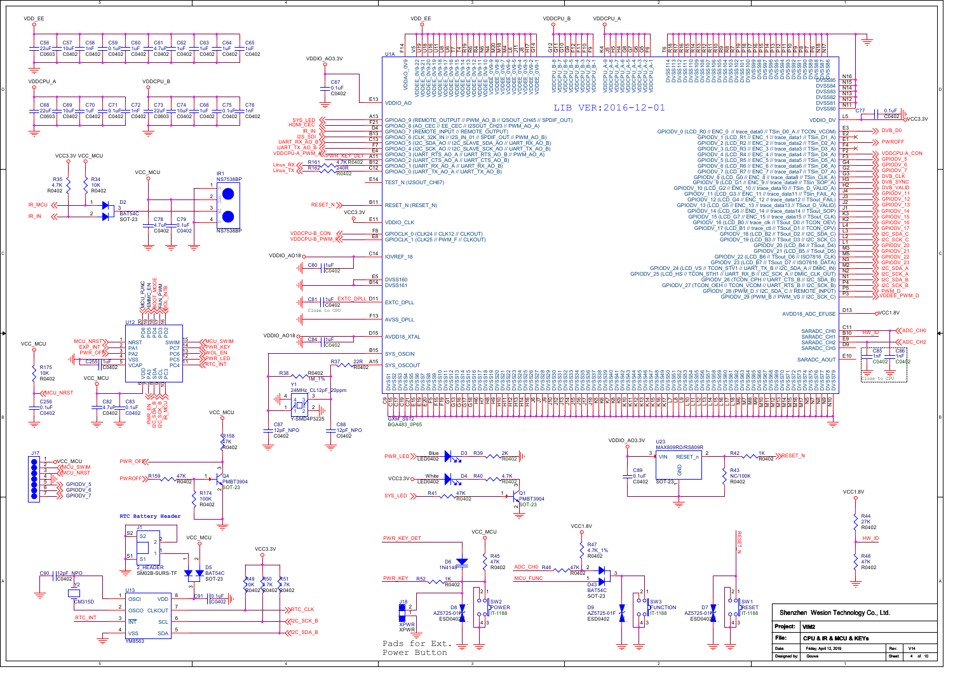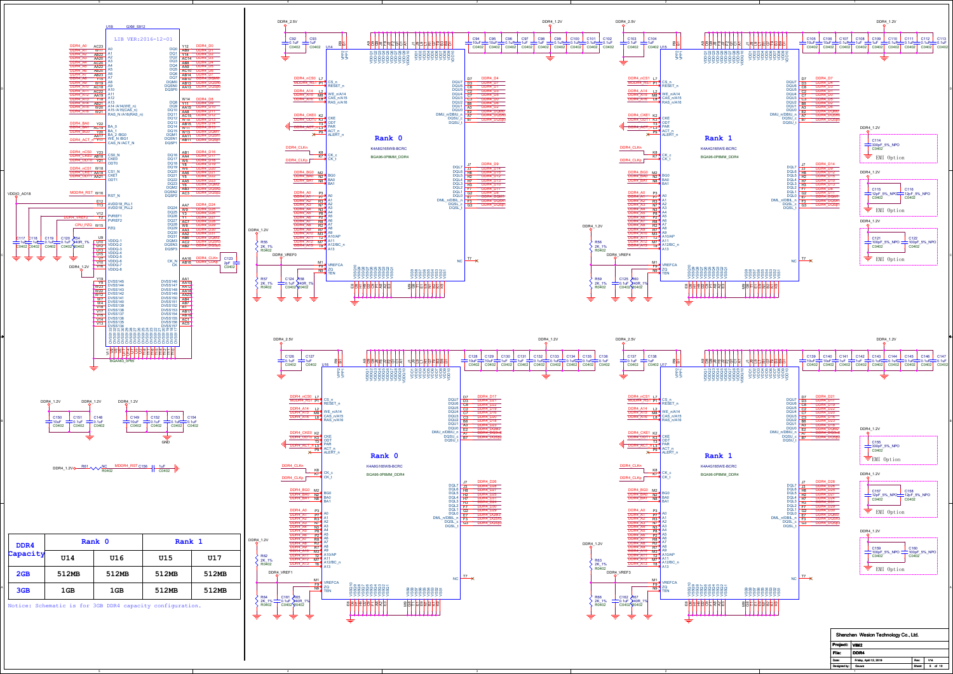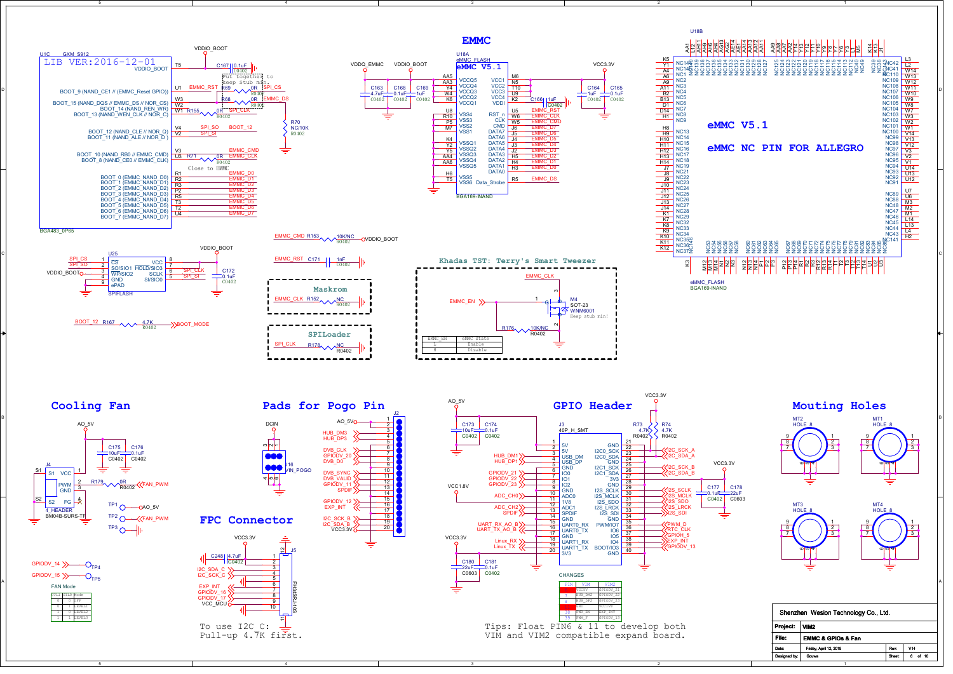

2

4

5

5

4

3

2

1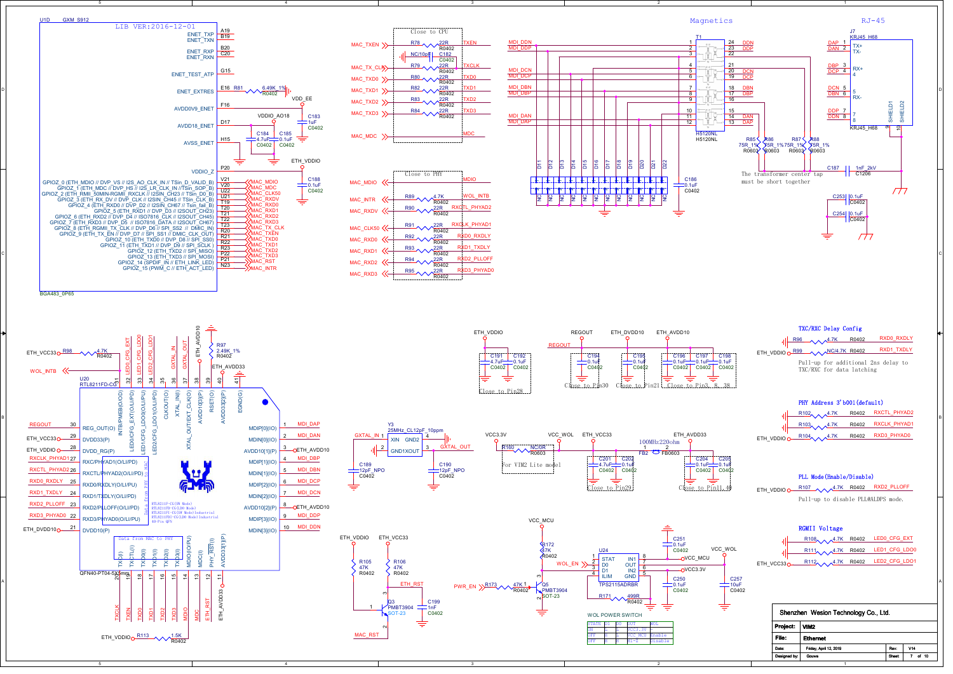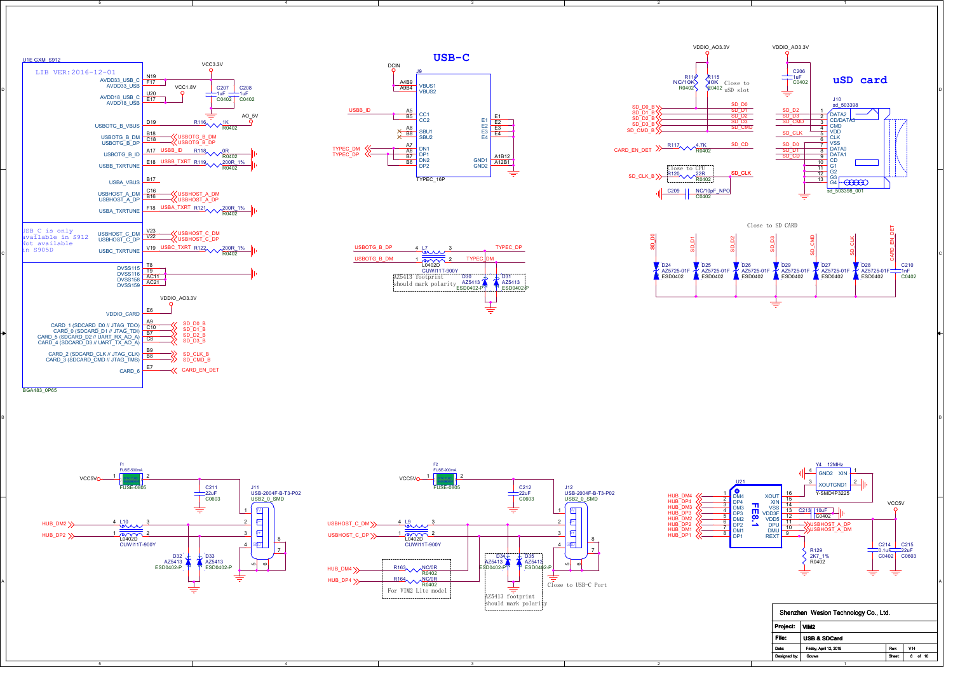



3

4

4



2

2



1







5



B I am a comparative contract that the contract of the contract of the contract of the contract of the contract of the contract of the contract of the contract of the contract of the contract of the contract of the contrac



|              | Shenzhen Wesion Technology Co., Ltd. |               |             |
|--------------|--------------------------------------|---------------|-------------|
| Project:     | VIM <sub>2</sub>                     |               |             |
| File:        | <b>USB &amp; SDCard</b>              |               |             |
| Date:        | Friday, April 12, 2019               | Rev           | V14         |
| Designed by: | Gouwa                                | <b>Sheet:</b> | of 10<br>s. |
|              |                                      |               |             |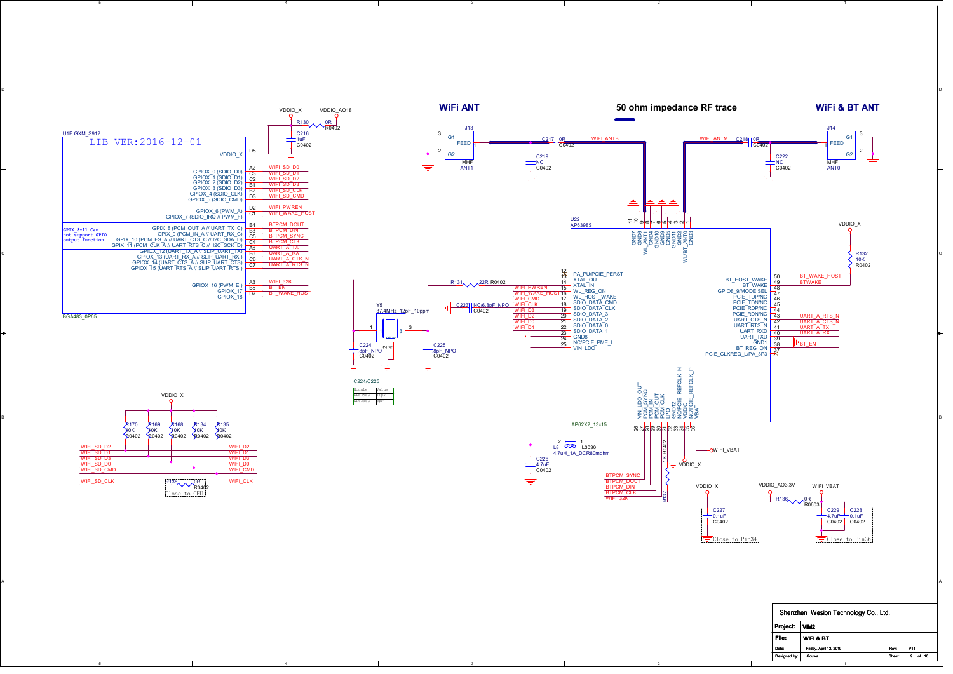

2

1

5